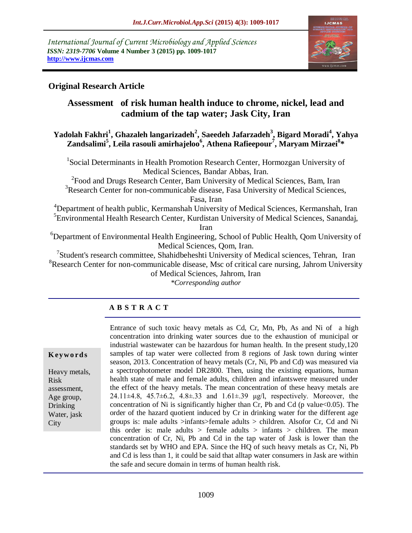*International Journal of Current Microbiology and Applied Sciences ISSN: 2319-7706* **Volume 4 Number 3 (2015) pp. 1009-1017 http://www.ijcmas.com** 



# **Original Research Article**

# **Assessment of risk human health induce to chrome, nickel, lead and cadmium of the tap water; Jask City, Iran**

## **Yadolah Fakhri<sup>1</sup> , Ghazaleh langarizadeh<sup>2</sup> , Saeedeh Jafarzadeh<sup>3</sup> , Bigard Moradi<sup>4</sup> , Yahya Zandsalimi<sup>5</sup> , Leila rasouli amirhajeloo<sup>6</sup> , Athena Rafieepour<sup>7</sup> , Maryam Mirzaei<sup>8</sup> \***

<sup>1</sup>Social Determinants in Health Promotion Research Center, Hormozgan University of Medical Sciences, Bandar Abbas, Iran.

<sup>2</sup> Food and Drugs Research Center, Bam University of Medical Sciences, Bam, Iran <sup>3</sup>Research Center for non-communicable disease, Fasa University of Medical Sciences,

Fasa, Iran

<sup>4</sup>Department of health public, Kermanshah University of Medical Sciences, Kermanshah, Iran <sup>5</sup> Environmental Health Research Center, Kurdistan University of Medical Sciences, Sanandaj,

Iran

<sup>6</sup>Department of Environmental Health Engineering, School of Public Health, Qom University of Medical Sciences, Qom, Iran.

<sup>7</sup>Student's research committee, Shahidbeheshti University of Medical sciences, Tehran, Iran  ${}^{8}$ Research Center for non-communicable disease, Msc of critical care nursing, Jahrom University of Medical Sciences, Jahrom, Iran

*\*Corresponding author*

# **A B S T R A C T**

#### **K ey w o rd s**

Heavy metals, Risk assessment, Age group, Drinking Water, jask **City** 

Entrance of such toxic heavy metals as Cd, Cr, Mn, Pb, As and Ni of a high concentration into drinking water sources due to the exhaustion of municipal or industrial wastewater can be hazardous for human health. In the present study,120 samples of tap water were collected from 8 regions of Jask town during winter season, 2013. Concentration of heavy metals (Cr, Ni, Pb and Cd) was measured via a spectrophotometer model DR2800. Then, using the existing equations, human health state of male and female adults, children and infantswere measured under the effect of the heavy metals. The mean concentration of these heavy metals are 24.11 $\pm$ 4.8, 45.7 $\pm$ 6.2, 4.8 $\pm$ .33 and 1.61 $\pm$ .39 μg/l, respectively. Moreover, the concentration of Ni is significantly higher than Cr, Pb and Cd (p value  $<0.05$ ). The order of the hazard quotient induced by Cr in drinking water for the different age groups is: male adults >infants>female adults > children. Alsofor Cr, Cd and Ni this order is: male adults  $>$  female adults  $>$  infants  $>$  children. The mean concentration of Cr, Ni, Pb and Cd in the tap water of Jask is lower than the standards set by WHO and EPA. Since the HQ of such heavy metals as Cr, Ni, Pb and Cd is less than 1, it could be said that alltap water consumers in Jask are within the safe and secure domain in terms of human health risk.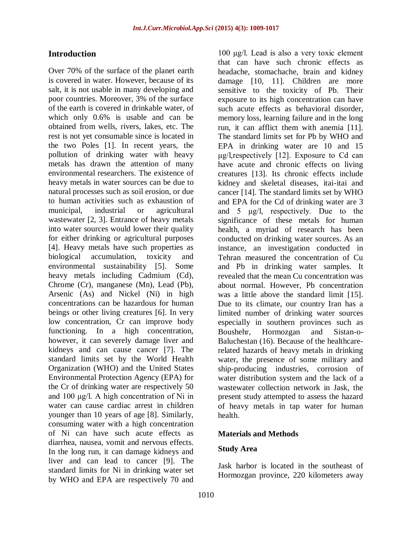## **Introduction**

Over 70% of the surface of the planet earth is covered in water. However, because of its salt, it is not usable in many developing and poor countries. Moreover, 3% of the surface of the earth is covered in drinkable water, of which only 0.6% is usable and can be obtained from wells, rivers, lakes, etc. The rest is not yet consumable since is located in the two Poles [1]. In recent years, the pollution of drinking water with heavy metals has drawn the attention of many environmental researchers. The existence of heavy metals in water sources can be due to natural processes such as soil erosion, or due to human activities such as exhaustion of municipal, industrial or agricultural wastewater [2, 3]. Entrance of heavy metals into water sources would lower their quality for either drinking or agricultural purposes [4]. Heavy metals have such properties as biological accumulation, toxicity and environmental sustainability [5]. Some heavy metals including Cadmium (Cd), Chrome (Cr), manganese (Mn), Lead (Pb), Arsenic (As) and Nickel (Ni) in high concentrations can be hazardous for human beings or other living creatures [6]. In very low concentration, Cr can improve body functioning. In a high concentration, however, it can severely damage liver and kidneys and can cause cancer [7]. The standard limits set by the World Health Organization (WHO) and the United States Environmental Protection Agency (EPA) for the Cr of drinking water are respectively 50 and 100 μg/l. A high concentration of Ni in water can cause cardiac arrest in children younger than 10 years of age [8]. Similarly, consuming water with a high concentration of Ni can have such acute effects as diarrhea, nausea, vomit and nervous effects. In the long run, it can damage kidneys and liver and can lead to cancer [9]. The standard limits for Ni in drinking water set by WHO and EPA are respectively 70 and

100 μg/l. Lead is also a very toxic element that can have such chronic effects as headache, stomachache, brain and kidney damage [10, 11]. Children are more sensitive to the toxicity of Pb. Their exposure to its high concentration can have such acute effects as behavioral disorder, memory loss, learning failure and in the long run, it can afflict them with anemia [11]. The standard limits set for Pb by WHO and EPA in drinking water are 10 and 15 μg/l,respectively [12]. Exposure to Cd can have acute and chronic effects on living creatures [13]. Its chronic effects include kidney and skeletal diseases, itai-itai and cancer [14]. The standard limits set by WHO and EPA for the Cd of drinking water are 3 and 5 μg/l, respectively. Due to the significance of these metals for human health, a myriad of research has been conducted on drinking water sources. As an instance, an investigation conducted in Tehran measured the concentration of Cu and Pb in drinking water samples. It revealed that the mean Cu concentration was about normal. However, Pb concentration was a little above the standard limit [15]. Due to its climate, our country Iran has a limited number of drinking water sources especially in southern provinces such as Boushehr, Hormozgan and Sistan-o-Baluchestan (16). Because of the healthcarerelated hazards of heavy metals in drinking water, the presence of some military and ship-producing industries, corrosion of water distribution system and the lack of a wastewater collection network in Jask, the present study attempted to assess the hazard of heavy metals in tap water for human health.

#### **Materials and Methods**

#### **Study Area**

Jask harbor is located in the southeast of Hormozgan province, 220 kilometers away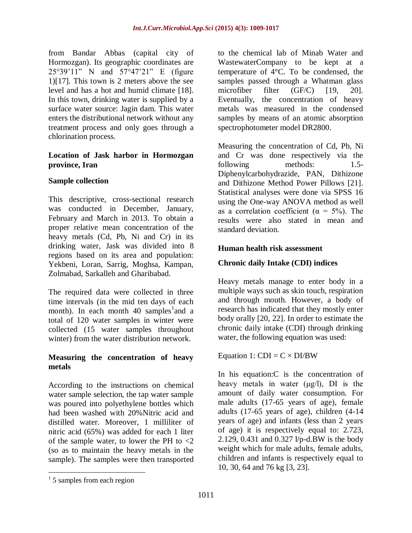from Bandar Abbas (capital city of Hormozgan). Its geographic coordinates are 25°39'11" N and 57°47'21" E (figure 1)[17]. This town is 2 meters above the see level and has a hot and humid climate [18]. In this town, drinking water is supplied by a surface water source: Jagin dam. This water enters the distributional network without any treatment process and only goes through a chlorination process.

### **Location of Jask harbor in Hormozgan province, Iran**

### **Sample collection**

This descriptive, cross-sectional research was conducted in December, January, February and March in 2013. To obtain a proper relative mean concentration of the heavy metals (Cd, Pb, Ni and Cr) in its drinking water, Jask was divided into 8 regions based on its area and population: Yekbeni, Loran, Sarrig, Moghsa, Kampan, Zolmabad, Sarkalleh and Gharibabad.

The required data were collected in three time intervals (in the mid ten days of each month). In each month 40 samples and a total of 120 water samples in winter were collected (15 water samples throughout winter) from the water distribution network.

### **Measuring the concentration of heavy metals**

According to the instructions on chemical water sample selection, the tap water sample was poured into polyethylene bottles which had been washed with 20%Nitric acid and distilled water. Moreover, 1 milliliter of nitric acid (65%) was added for each 1 liter of the sample water, to lower the PH to <2 (so as to maintain the heavy metals in the sample). The samples were then transported to the chemical lab of Minab Water and WastewaterCompany to be kept at a temperature of 4°C. To be condensed, the samples passed through a Whatman glass microfiber filter (GF/C) [19, 20]. Eventually, the concentration of heavy metals was measured in the condensed samples by means of an atomic absorption spectrophotometer model DR2800.

Measuring the concentration of Cd, Pb, Ni and Cr was done respectively via the following methods: 1.5-Diphenylcarbohydrazide, PAN, Dithizone and Dithizone Method Power Pillows [21]. Statistical analyses were done via SPSS 16 using the One-way ANOVA method as well as a correlation coefficient ( $\alpha = 5\%$ ). The results were also stated in mean and standard deviation.

### **Human health risk assessment**

### **Chronic daily Intake (CDI) indices**

Heavy metals manage to enter body in a multiple ways such as skin touch, respiration and through mouth. However, a body of research has indicated that they mostly enter body orally [20, 22]. In order to estimate the chronic daily intake (CDI) through drinking water, the following equation was used:

Equation 1:  $CDI = C \times DI/BW$ 

In his equation:C is the concentration of heavy metals in water  $(\mu g/l)$ , DI is the amount of daily water consumption. For male adults (17-65 years of age), female adults (17-65 years of age), children (4-14 years of age) and infants (less than 2 years of age) it is respectively equal to: 2.723, 2.129, 0.431 and 0.327 l/p-d.BW is the body weight which for male adults, female adults, children and infants is respectively equal to 10, 30, 64 and 76 kg [3, 23].

 $\overline{a}$ 

<sup>&</sup>lt;sup>1</sup> 5 samples from each region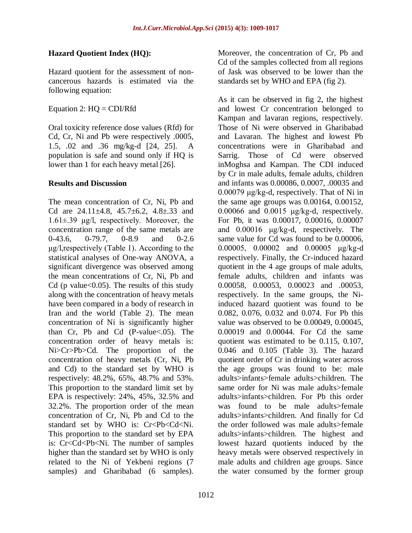# **Hazard Quotient Index (HQ):**

Hazard quotient for the assessment of noncancerous hazards is estimated via the following equation:

Equation 2:  $HQ = CDI/Rfd$ 

Oral toxicity reference dose values (Rfd) for Cd, Cr, Ni and Pb were respectively .0005, 1.5, .02 and .36 mg/kg-d [24, 25]. A population is safe and sound only if HQ is lower than 1 for each heavy metal [26].

## **Results and Discussion**

The mean concentration of Cr, Ni, Pb and Cd are  $24.11 \pm 4.8$ ,  $45.7 \pm 6.2$ ,  $4.8 \pm .33$  and 1.61±.39 μg/l, respectively. Moreover, the concentration range of the same metals are 0-43.6, 0-79.7, 0-8.9 and 0-2.6 μg/l,respectively (Table 1). According to the statistical analyses of One-way ANOVA, a significant divergence was observed among the mean concentrations of Cr, Ni, Pb and Cd (p value $<0.05$ ). The results of this study along with the concentration of heavy metals have been compared in a body of research in Iran and the world (Table 2). The mean concentration of Ni is significantly higher than Cr, Pb and Cd (P-value<.05). The concentration order of heavy metals is: Ni>Cr>Pb>Cd. The proportion of the concentration of heavy metals (Cr, Ni, Pb and Cd) to the standard set by WHO is respectively: 48.2%, 65%, 48.7% and 53%. This proportion to the standard limit set by EPA is respectively: 24%, 45%, 32.5% and 32.2%. The proportion order of the mean concentration of Cr, Ni, Pb and Cd to the standard set by WHO is: Cr<Pb<Cd<Ni. This proportion to the standard set by EPA is: Cr<Cd<Pb<Ni. The number of samples higher than the standard set by WHO is only related to the Ni of Yekbeni regions (7 samples) and Gharibabad (6 samples).

Moreover, the concentration of Cr, Pb and Cd of the samples collected from all regions of Jask was observed to be lower than the standards set by WHO and EPA (fig 2).

As it can be observed in fig 2, the highest and lowest Cr concentration belonged to Kampan and lavaran regions, respectively. Those of Ni were observed in Gharibabad and Lavaran. The highest and lowest Pb concentrations were in Gharibabad and Sarrig. Those of Cd were observed inMoghsa and Kampan. The CDI induced by Cr in male adults, female adults, children and infants was 0.00086, 0.0007, .00035 and 0.00079 μg/kg-d, respectively. That of Ni in the same age groups was 0.00164, 0.00152, 0.00066 and 0.0015 μg/kg-d, respectively. For Pb, it was 0.00017, 0.00016, 0.00007 and 0.00016 μg/kg-d, respectively. The same value for Cd was found to be 0.00006, 0.00005, 0.00002 and 0.00005 μg/kg-d respectively. Finally, the Cr-induced hazard quotient in the 4 age groups of male adults, female adults, children and infants was 0.00058, 0.00053, 0.00023 and .00053, respectively. In the same groups, the Niinduced hazard quotient was found to be 0.082, 0.076, 0.032 and 0.074. For Pb this value was observed to be 0.00049, 0.00045, 0.00019 and 0.00044. For Cd the same quotient was estimated to be 0.115, 0.107, 0.046 and 0.105 (Table 3). The hazard quotient order of Cr in drinking water across the age groups was found to be: male adults>infants>female adults>children. The same order for Ni was male adults>female adults>infants>children. For Pb this order was found to be male adults>female adults>infants>children. And finally for Cd the order followed was male adults>female adults>infants>children. The highest and lowest hazard quotients induced by the heavy metals were observed respectively in male adults and children age groups. Since the water consumed by the former group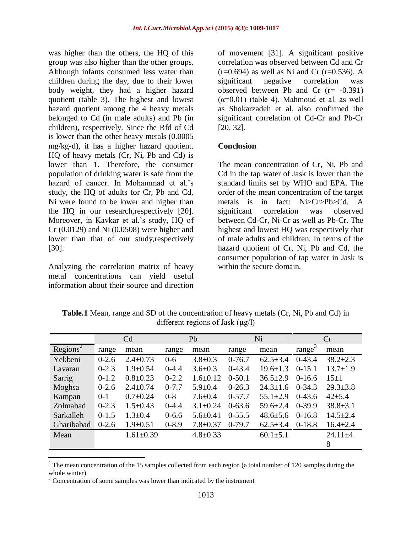was higher than the others, the HQ of this group was also higher than the other groups. Although infants consumed less water than children during the day, due to their lower body weight, they had a higher hazard quotient (table 3). The highest and lowest hazard quotient among the 4 heavy metals belonged to Cd (in male adults) and Pb (in children), respectively. Since the Rfd of Cd is lower than the other heavy metals (0.0005 mg/kg-d), it has a higher hazard quotient. HQ of heavy metals (Cr, Ni, Pb and Cd) is lower than 1. Therefore, the consumer population of drinking water is safe from the hazard of cancer. In Mohammad et al.'s study, the HQ of adults for Cr, Pb and Cd, Ni were found to be lower and higher than the HQ in our research,respectively [20]. Moreover, in Kavkar et al.'s study, HQ of Cr (0.0129) and Ni (0.0508) were higher and lower than that of our study, respectively [30].

Analyzing the correlation matrix of heavy metal concentrations can yield useful information about their source and direction

of movement [31]. A significant positive correlation was observed between Cd and Cr  $(r=0.694)$  as well as Ni and Cr  $(r=0.536)$ . A significant negative correlation was observed between Pb and Cr  $(r = -0.391)$  $(\alpha=0.01)$  (table 4). Mahmoud et al. as well as Shokarzadeh et al. also confirmed the significant correlation of Cd-Cr and Pb-Cr [20, 32].

#### **Conclusion**

The mean concentration of Cr, Ni, Pb and Cd in the tap water of Jask is lower than the standard limits set by WHO and EPA. The order of the mean concentration of the target metals is in fact: Ni>Cr>Pb>Cd. A significant correlation was observed between Cd-Cr, Ni-Cr as well as Pb-Cr. The highest and lowest HQ was respectively that of male adults and children. In terms of the hazard quotient of Cr, Ni, Pb and Cd, the consumer population of tap water in Jask is within the secure domain.

|                    | C <sub>d</sub> |                 | Pb        |                | Ni         |                | Cr                 |                |
|--------------------|----------------|-----------------|-----------|----------------|------------|----------------|--------------------|----------------|
| $\text{Regions}^2$ | range          | mean            | range     | mean           | range      | mean           | range <sup>3</sup> | mean           |
| Yekbeni            | $0 - 2.6$      | $2.4 \pm 0.73$  | $0 - 6$   | $3.8 \pm 0.3$  | $0-76.7$   | $62.5 \pm 3.4$ | $0-43.4$           | $38.2 \pm 2.3$ |
| Lavaran            | $0 - 2.3$      | $1.9 \pm 0.54$  | $0-4.4$   | $3.6 \pm 0.3$  | $0-43.4$   | $19.6 \pm 1.3$ | $0-15.1$           | $13.7 \pm 1.9$ |
| Sarrig             | $0-1.2$        | $0.8 \pm 0.23$  | $0 - 2.2$ | $1.6 \pm 0.12$ | $0-50.1$   | $36.5 \pm 2.9$ | $0-16.6$           | $15+1$         |
| Moghsa             | $0 - 2.6$      | $2.4 \pm 0.74$  | $0 - 7.7$ | $5.9 \pm 0.4$  | $0-26.3$   | $24.3 \pm 1.6$ | $0-34.3$           | $29.3 \pm 3.8$ |
| Kampan             | $0 - 1$        | $0.7 \pm 0.24$  | $0 - 8$   | $7.6 \pm 0.4$  | $0-57.7$   | $55.1 \pm 2.9$ | $0-43.6$           | $42 \pm 5.4$   |
| Zolmabad           | $0 - 2.3$      | $1.5 \pm 0.43$  | $0-4.4$   | $3.1 \pm 0.24$ | $0 - 63.6$ | $59.6 \pm 2.4$ | $0-39.9$           | $38.8 \pm 3.1$ |
| Sarkalleh          | $0-1.5$        | $1.3 \pm 0.4$   | $0 - 6.6$ | $5.6 \pm 0.41$ | $0-55.5$   | $48.6 \pm 5.6$ | $0-16.8$           | $14.5 \pm 2.4$ |
| Gharibabad         | $0-2.6$        | $1.9 \pm 0.51$  | $0 - 8.9$ | $7.8 \pm 0.37$ | $0-79.7$   | $62.5 \pm 3.4$ | $0-18.8$           | $16.4 \pm 2.4$ |
| Mean               |                | $1.61 \pm 0.39$ |           | $4.8 \pm 0.33$ |            | $60.1 \pm 5.1$ |                    | $24.11 \pm 4.$ |
|                    |                |                 |           |                |            |                |                    | 8              |

**Table.1** Mean, range and SD of the concentration of heavy metals (Cr, Ni, Pb and Cd) in different regions of Jask (μg/l)

 $\overline{a}$ 

 $2$  The mean concentration of the 15 samples collected from each region (a total number of 120 samples during the whole winter)

<sup>&</sup>lt;sup>3</sup> Concentration of some samples was lower than indicated by the instrument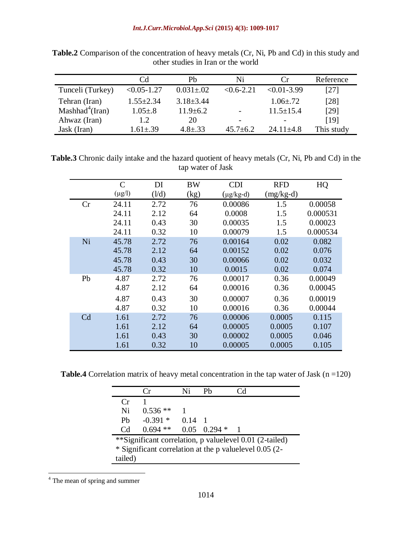|                             | Cd              | Ph               | Ni                       | (`r                      | Reference  |
|-----------------------------|-----------------|------------------|--------------------------|--------------------------|------------|
| Tunceli (Turkey)            | $< 0.05 - 1.27$ | $0.031 \pm 0.02$ | $< 0.6 - 2.21$           | $< 0.01 - 3.99$          | [27]       |
| Tehran (Iran)               | $1.55 \pm 2.34$ | $3.18 \pm 3.44$  |                          | $1.06 \pm .72$           | [28]       |
| Mashhad <sup>4</sup> (Iran) | $1.05 \pm .8$   | $11.9 \pm 6.2$   |                          | $11.5 \pm 15.4$          | [29]       |
| Ahwaz (Iran)                | 1.2             | 20               | $\overline{\phantom{0}}$ | $\overline{\phantom{0}}$ | [19]       |
| Jask (Iran)                 | $1.61 \pm .39$  | $4.8 \pm .33$    | $45.7 \pm 6.2$           | $24.11 + 4.8$            | This study |

**Table.2** Comparison of the concentration of heavy metals (Cr, Ni, Pb and Cd) in this study and other studies in Iran or the world

**Table.3** Chronic daily intake and the hazard quotient of heavy metals (Cr, Ni, Pb and Cd) in the tap water of Jask

|    | $\mathcal{C}$ | DI    | <b>BW</b> | <b>CDI</b>     | <b>RFD</b>  | HQ       |
|----|---------------|-------|-----------|----------------|-------------|----------|
|    | $(\mu g/l)$   | (1/d) | (kg)      | $(\mu g/kg-d)$ | $(mg/kg-d)$ |          |
| Cr | 24.11         | 2.72  | 76        | 0.00086        | 1.5         | 0.00058  |
|    | 24.11         | 2.12  | 64        | 0.0008         | 1.5         | 0.000531 |
|    | 24.11         | 0.43  | 30        | 0.00035        | 1.5         | 0.00023  |
|    | 24.11         | 0.32  | 10        | 0.00079        | 1.5         | 0.000534 |
| Ni | 45.78         | 2.72  | 76        | 0.00164        | 0.02        | 0.082    |
|    | 45.78         | 2.12  | 64        | 0.00152        | 0.02        | 0.076    |
|    | 45.78         | 0.43  | 30        | 0.00066        | 0.02        | 0.032    |
|    | 45.78         | 0.32  | 10        | 0.0015         | 0.02        | 0.074    |
| Pb | 4.87          | 2.72  | 76        | 0.00017        | 0.36        | 0.00049  |
|    | 4.87          | 2.12  | 64        | 0.00016        | 0.36        | 0.00045  |
|    | 4.87          | 0.43  | 30        | 0.00007        | 0.36        | 0.00019  |
|    | 4.87          | 0.32  | 10        | 0.00016        | 0.36        | 0.00044  |
| Cd | 1.61          | 2.72  | 76        | 0.00006        | 0.0005      | 0.115    |
|    | 1.61          | 2.12  | 64        | 0.00005        | 0.0005      | 0.107    |
|    | 1.61          | 0.43  | 30        | 0.00002        | 0.0005      | 0.046    |
|    | 1.61          | 0.32  | 10        | 0.00005        | 0.0005      | 0.105    |

**Table.4** Correlation matrix of heavy metal concentration in the tap water of Jask  $(n = 120)$ 

|                                                         | $\mathsf{r}$ | Ni             |                    | L, U |  |  |
|---------------------------------------------------------|--------------|----------------|--------------------|------|--|--|
| $C_{\rm r}$                                             |              |                |                    |      |  |  |
| Ni                                                      | $0.536**$    |                |                    |      |  |  |
| P <sub>b</sub>                                          | $-0.391*$    | $0.14 \quad 1$ |                    |      |  |  |
| C <sub>d</sub>                                          | $0.694$ **   |                | $0.05$ $0.294 * 1$ |      |  |  |
| **Significant correlation, p valuelevel 0.01 (2-tailed) |              |                |                    |      |  |  |
| * Significant correlation at the p valuelevel 0.05 (2-  |              |                |                    |      |  |  |
| tailed)                                                 |              |                |                    |      |  |  |

 $4$  The mean of spring and summer

 $\overline{a}$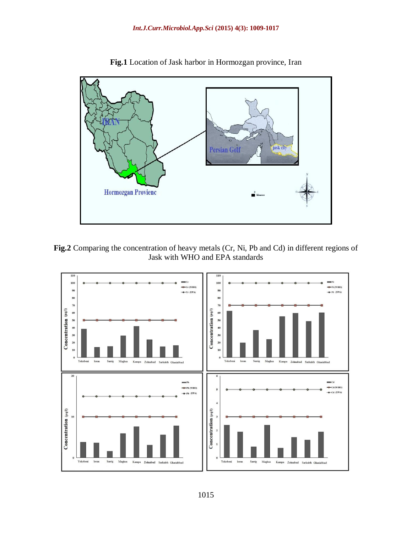

**Fig.1** Location of Jask harbor in Hormozgan province, Iran



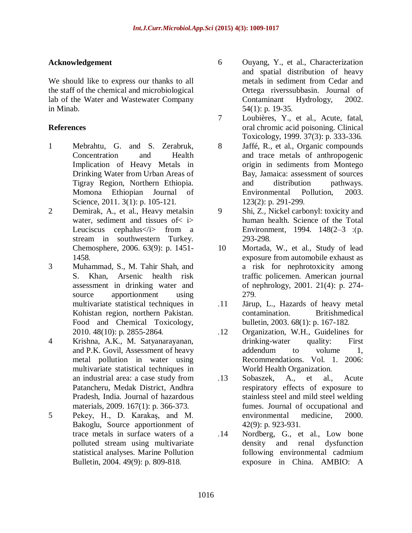## **Acknowledgement**

We should like to express our thanks to all the staff of the chemical and microbiological lab of the Water and Wastewater Company in Minab.

## **References**

- 1 Mebrahtu, G. and S. Zerabruk, Concentration and Health Implication of Heavy Metals in Drinking Water from Urban Areas of Tigray Region, Northern Ethiopia. Momona Ethiopian Journal of Science, 2011. 3(1): p. 105-121.
- 2 Demirak, A., et al., Heavy metalsin water, sediment and tissues of  $\langle$  i Leuciscus cephalus </i>from a stream in southwestern Turkey. Chemosphere, 2006. 63(9): p. 1451- 1458.
- 3 Muhammad, S., M. Tahir Shah, and S. Khan, Arsenic health risk assessment in drinking water and source apportionment using multivariate statistical techniques in Kohistan region, northern Pakistan. Food and Chemical Toxicology, 2010. 48(10): p. 2855-2864.
- 4 Krishna, A.K., M. Satyanarayanan, and P.K. Govil, Assessment of heavy metal pollution in water using multivariate statistical techniques in an industrial area: a case study from Patancheru, Medak District, Andhra Pradesh, India. Journal of hazardous materials, 2009. 167(1): p. 366-373.
- 5 Pekey, H., D. Karakaş, and M. Bakoglu, Source apportionment of trace metals in surface waters of a polluted stream using multivariate statistical analyses. Marine Pollution Bulletin, 2004. 49(9): p. 809-818.
- 6 Ouyang, Y., et al., Characterization and spatial distribution of heavy metals in sediment from Cedar and Ortega riverssubbasin. Journal of Contaminant Hydrology, 2002. 54(1): p. 19-35.
- 7 Loubières, Y., et al., Acute, fatal, oral chromic acid poisoning. Clinical Toxicology, 1999. 37(3): p. 333-336.
- 8 Jaffé, R., et al., Organic compounds and trace metals of anthropogenic origin in sediments from Montego Bay, Jamaica: assessment of sources and distribution pathways. Environmental Pollution, 2003. 123(2): p. 291-299.
- 9 Shi, Z., Nickel carbonyl: toxicity and human health. Science of the Total Environment, 1994.  $148(2-3)$ : (p. 293-298.
- 10 Mortada, W., et al., Study of lead exposure from automobile exhaust as a risk for nephrotoxicity among traffic policemen. American journal of nephrology, 2001. 21(4): p. 274- 279.
- .11 Järup, L., Hazards of heavy metal contamination. Britishmedical bulletin, 2003. 68(1): p. 167-182.
- .12 Organization, W.H., Guidelines for drinking-water quality: First addendum to volume 1, Recommendations. Vol. 1. 2006: World Health Organization.
- .13 Sobaszek, A., et al., Acute respiratory effects of exposure to stainless steel and mild steel welding fumes. Journal of occupational and environmental medicine, 2000. 42(9): p. 923-931.
- .14 Nordberg, G., et al., Low bone density and renal dysfunction following environmental cadmium exposure in China. AMBIO: A